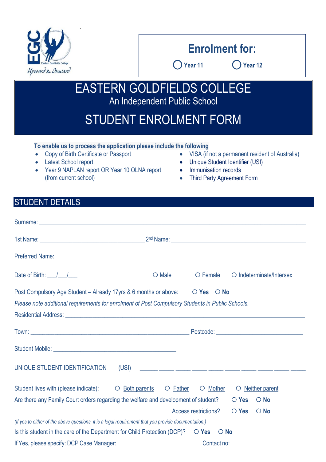

# **Enrolment for:**

⃝**Year 11** ⃝**Year 12**

EASTERN GOLDFIELDS COLLEGE An Independent Public School

# STUDENT ENROLMENT FORM

#### **To enable us to process the application please include the following**

.

- Latest School report
- Year 9 NAPLAN report OR Year 10 OLNA report (from current school)
- Copy of Birth Certificate or Passport VISA (if not a permanent resident of Australia)
	- Unique Student Identifier (USI)
	- Immunisation records
	- Third Party Agreement Form

### STUDENT DETAILS

| Date of Birth: $\frac{1}{\sqrt{2}}$                                                                    | O Male                                                                                                                                                                                                                               | O Female             |                    | O Indeterminate/Intersex |
|--------------------------------------------------------------------------------------------------------|--------------------------------------------------------------------------------------------------------------------------------------------------------------------------------------------------------------------------------------|----------------------|--------------------|--------------------------|
| Post Compulsory Age Student – Already 17 yrs & 6 months or above: $\bigcirc$ Yes $\bigcirc$ No         |                                                                                                                                                                                                                                      |                      |                    |                          |
| Please note additional requirements for enrolment of Post Compulsory Students in Public Schools.       |                                                                                                                                                                                                                                      |                      |                    |                          |
|                                                                                                        |                                                                                                                                                                                                                                      |                      |                    |                          |
|                                                                                                        |                                                                                                                                                                                                                                      |                      |                    |                          |
|                                                                                                        |                                                                                                                                                                                                                                      |                      |                    |                          |
| UNIQUE STUDENT IDENTIFICATION<br>(USI)                                                                 | <u> 1999 - John Harry Harry Harry Harry Harry Harry Harry Harry Harry Harry Harry Harry Harry Harry Harry Harry Harry Harry Harry Harry Harry Harry Harry Harry Harry Harry Harry Harry Harry Harry Harry Harry Harry Harry Harr</u> |                      |                    |                          |
| Student lives with (please indicate): C Both parents C Father C Mother                                 |                                                                                                                                                                                                                                      |                      |                    | O Neither parent         |
| Are there any Family Court orders regarding the welfare and development of student? $\bigcirc$ Yes     |                                                                                                                                                                                                                                      |                      |                    | $\bigcirc$ No            |
|                                                                                                        |                                                                                                                                                                                                                                      | Access restrictions? | $\overline{O}$ Yes | $\bigcirc$ No            |
| (If yes to either of the above questions, it is a legal requirement that you provide documentation.)   |                                                                                                                                                                                                                                      |                      |                    |                          |
| Is this student in the care of the Department for Child Protection (DCP)? $\bigcirc$ Yes $\bigcirc$ No |                                                                                                                                                                                                                                      |                      |                    |                          |
|                                                                                                        |                                                                                                                                                                                                                                      |                      |                    |                          |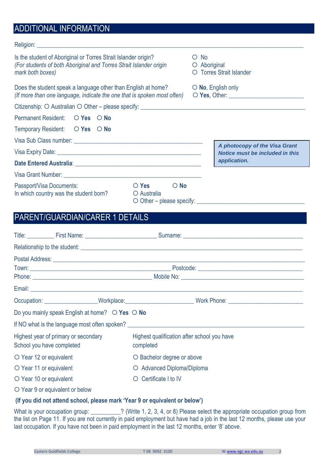## ADDITIONAL INFORMATION

| Is the student of Aboriginal or Torres Strait Islander origin?<br>(For students of both Aboriginal and Torres Strait Islander origin<br>mark both boxes)                                                                             |                                                    | $\circ$ No<br>O Aboriginal | O Torres Strait Islander                                      |
|--------------------------------------------------------------------------------------------------------------------------------------------------------------------------------------------------------------------------------------|----------------------------------------------------|----------------------------|---------------------------------------------------------------|
| Does the student speak a language other than English at home?<br>(If more than one language, indicate the one that is spoken most often)                                                                                             |                                                    |                            | $\circ$ No, English only<br>O Yes, Other: <b>Example 2014</b> |
|                                                                                                                                                                                                                                      |                                                    |                            |                                                               |
| Permanent Resident: ○ Yes ○ No                                                                                                                                                                                                       |                                                    |                            |                                                               |
| Temporary Resident: O Yes O No                                                                                                                                                                                                       |                                                    |                            |                                                               |
|                                                                                                                                                                                                                                      |                                                    |                            | A photocopy of the Visa Grant                                 |
|                                                                                                                                                                                                                                      |                                                    |                            | <b>Notice must be included in this</b>                        |
|                                                                                                                                                                                                                                      |                                                    |                            | application.                                                  |
| Visa Grant Number: <u>New York: New York: New York: New York: New York: New York: New York: New York: New York: New York: New York: New York: New York: New York: New York: New York: New York: New York: New York: New York: Ne</u> |                                                    |                            |                                                               |
| Passport/Visa Documents:<br>In which country was the student born?                                                                                                                                                                   | $\overline{O}$ Yes<br>$\bigcirc$ No<br>O Australia |                            | O Other – please specify:                                     |

## PARENT/GUARDIAN/CARER 1 DETAILS

|                               |                                                                   | Relationship to the student: <u>contract and contract and contract and contract and contract and contract and contract and contract and contract and contract and contract and contract and contract and contract and contract a</u> |
|-------------------------------|-------------------------------------------------------------------|--------------------------------------------------------------------------------------------------------------------------------------------------------------------------------------------------------------------------------------|
|                               |                                                                   |                                                                                                                                                                                                                                      |
|                               |                                                                   |                                                                                                                                                                                                                                      |
|                               |                                                                   |                                                                                                                                                                                                                                      |
|                               |                                                                   |                                                                                                                                                                                                                                      |
|                               |                                                                   | Occupation: ____________________Workplace:___________________________Work Phone: _____________________________                                                                                                                       |
|                               | Do you mainly speak English at home? $\bigcirc$ Yes $\bigcirc$ No |                                                                                                                                                                                                                                      |
|                               |                                                                   | If NO what is the language most often spoken?                                                                                                                                                                                        |
| School you have completed     | Highest year of primary or secondary                              | Highest qualification after school you have<br>completed                                                                                                                                                                             |
| $\circ$ Year 12 or equivalent |                                                                   | O Bachelor degree or above                                                                                                                                                                                                           |
| O Year 11 or equivalent       |                                                                   | O Advanced Diploma/Diploma                                                                                                                                                                                                           |
| O Year 10 or equivalent       |                                                                   | Certificate I to IV<br>$\circ$                                                                                                                                                                                                       |
|                               | O Year 9 or equivalent or below                                   |                                                                                                                                                                                                                                      |

#### **(If you did not attend school, please mark 'Year 9 or equivalent or below')**

What is your occupation group: 2011 2, 100 Write 1, 2, 3, 4, or 8) Please select the appropriate occupation group from the list on Page 11. If you are not currently in paid employment but have had a job in the last 12 months, please use your last occupation. If you have not been in paid employment in the last 12 months, enter '8' above.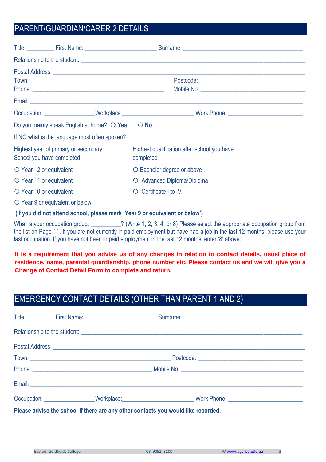## PARENT/GUARDIAN/CARER 2 DETAILS

|                         |                                                                   | Relationship to the student: <u>contained and a set of the students</u> and a set of the students of the students of the students of the students of the students of the students of the students of the students of the students o |  |
|-------------------------|-------------------------------------------------------------------|-------------------------------------------------------------------------------------------------------------------------------------------------------------------------------------------------------------------------------------|--|
|                         |                                                                   |                                                                                                                                                                                                                                     |  |
|                         |                                                                   |                                                                                                                                                                                                                                     |  |
|                         |                                                                   |                                                                                                                                                                                                                                     |  |
|                         |                                                                   |                                                                                                                                                                                                                                     |  |
|                         |                                                                   | Occupation: ___________________Workplace:______________________________Work Phone: ___________________________                                                                                                                      |  |
|                         | Do you mainly speak English at home? $\bigcirc$ Yes               | $\bigcirc$ No                                                                                                                                                                                                                       |  |
|                         |                                                                   | If NO what is the language most often spoken?                                                                                                                                                                                       |  |
|                         | Highest year of primary or secondary<br>School you have completed | Highest qualification after school you have<br>completed                                                                                                                                                                            |  |
| O Year 12 or equivalent |                                                                   | O Bachelor degree or above                                                                                                                                                                                                          |  |
| O Year 11 or equivalent |                                                                   | O Advanced Diploma/Diploma                                                                                                                                                                                                          |  |
| O Year 10 or equivalent |                                                                   | Certificate I to IV<br>$\circ$                                                                                                                                                                                                      |  |
|                         | O Year 9 or equivalent or below                                   |                                                                                                                                                                                                                                     |  |

#### **(If you did not attend school, please mark 'Year 9 or equivalent or below')**

What is your occupation group: 2. (Write 1, 2, 3, 4, or 8) Please select the appropriate occupation group from the list on Page 11. If you are not currently in paid employment but have had a job in the last 12 months, please use your last occupation. If you have not been in paid employment in the last 12 months, enter '8' above.

**It is a requirement that you advise us of any changes in relation to contact details, usual place of residence, name, parental guardianship, phone number etc. Please contact us and we will give you a Change of Contact Detail Form to complete and return.**

## EMERGENCY CONTACT DETAILS (OTHER THAN PARENT 1 AND 2)

|  | Relationship to the student: experience of the student:                           |  |
|--|-----------------------------------------------------------------------------------|--|
|  |                                                                                   |  |
|  |                                                                                   |  |
|  |                                                                                   |  |
|  |                                                                                   |  |
|  |                                                                                   |  |
|  | Please advise the school if there are any other contacts you would like recorded. |  |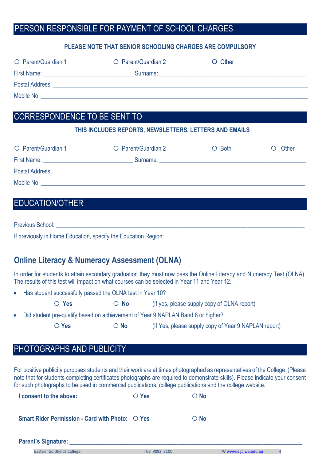## PERSON RESPONSIBLE FOR PAYMENT OF SCHOOL CHARGES

#### **PLEASE NOTE THAT SENIOR SCHOOLING CHARGES ARE COMPULSORY**

| O Parent/Guardian 1                                                                                             | O Parent/Guardian 2 | $\circ$ Other |
|-----------------------------------------------------------------------------------------------------------------|---------------------|---------------|
| First Name: <u>___________________________</u>                                                                  |                     |               |
| Postal Address: No. 2008. And The Contract of Texas and Texas and Texas and Texas and Texas and Texas and Texas |                     |               |
| Mobile No:                                                                                                      |                     |               |

### CORRESPONDENCE TO BE SENT TO

#### **THIS INCLUDES REPORTS, NEWSLETTERS, LETTERS AND EMAILS**

| O Parent/Guardian 1 | O Parent/Guardian 2 | $\circ$ Both | Other |
|---------------------|---------------------|--------------|-------|
| First Name:         | Surname:            |              |       |
| Postal Address:     |                     |              |       |
| Mobile No:          |                     |              |       |

### EDUCATION/OTHER

Previous School: **Example 20** and 20 and 20 and 20 and 20 and 20 and 20 and 20 and 20 and 20 and 20 and 20 and 20 and 20 and 20 and 20 and 20 and 20 and 20 and 20 and 20 and 20 and 20 and 20 and 20 and 20 and 20 and 20 and If previously in Home Education, specify the Education Region: \_\_\_\_\_\_\_\_\_\_\_\_\_\_\_\_\_\_\_\_\_\_\_\_\_\_\_\_\_\_\_\_\_\_\_\_\_\_\_\_\_\_\_\_\_\_

### **Online Literacy & Numeracy Assessment (OLNA)**

In order for students to attain secondary graduation they must now pass the Online Literacy and Numeracy Test (OLNA). The results of this test will impact on what courses can be selected in Year 11 and Year 12.

• Has student successfully passed the OLNA test in Year 10?

○ Yes **O** No (If yes, please supply copy of OLNA report)

Did student pre-qualify based on achievement of Year 9 NAPLAN Band 8 or higher?

○ Yes **O No** (If Yes, please supply copy of Year 9 NAPLAN report)

## PHOTOGRAPHS AND PUBLICITY

For positive publicity purposes students and their work are at times photographed as representatives of the College. (Please note that for students completing certificates photographs are required to demonstrate skills). Please indicate your consent for such photographs to be used in commercial publications, college publications and the college website.

| I consent to the above:                                                 | $\overline{O}$ Yes | $\bigcirc$ No |
|-------------------------------------------------------------------------|--------------------|---------------|
| <b>Smart Rider Permission - Card with Photo: <math>\circ</math> Yes</b> |                    | $\bigcirc$ No |

#### Parent's Signature: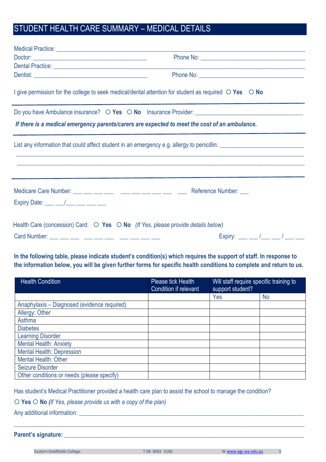## STUDENT HEALTH CARE SUMMARY – MEDICAL DETAILS

| Dental Practice: Later and the contract of the contract of the contract of the contract of the contract of the          |                                                                                  |
|-------------------------------------------------------------------------------------------------------------------------|----------------------------------------------------------------------------------|
|                                                                                                                         |                                                                                  |
| I give permission for the college to seek medical/dental attention for student as required $\bigcirc$ Yes $\bigcirc$ No |                                                                                  |
|                                                                                                                         |                                                                                  |
| If there is a medical emergency parents/carers are expected to meet the cost of an ambulance.                           |                                                                                  |
|                                                                                                                         | ,我们也不能在这里的时候,我们也不能在这里的时候,我们也不能不能不能不能不能不能不能不能不能不能不能不能不能。""我们的是我们的,我们也不能不能不能不能不能不能 |
|                                                                                                                         |                                                                                  |
|                                                                                                                         |                                                                                  |
| Expiry Date: $\frac{1}{2}$ $\frac{1}{2}$ $\frac{1}{2}$ $\frac{1}{2}$ $\frac{1}{2}$ $\frac{1}{2}$ $\frac{1}{2}$          |                                                                                  |
| Health Care (concession) Card: $\bigcirc$ Yes $\bigcirc$ No (If Yes, please provide details below)                      |                                                                                  |
| Card Number: __ __ __ __ __ __ __ __ __ __ __                                                                           | Expiry: ___ __ /___ __ / ___ __ __                                               |

**In the following table, please indicate student's condition(s) which requires the support of staff. In response to the information below, you will be given further forms for specific health conditions to complete and return to us.** 

| <b>Health Condition</b>                     | Please tick Health<br>Condition if relevant | Will staff require specific training to<br>support student? |           |
|---------------------------------------------|---------------------------------------------|-------------------------------------------------------------|-----------|
|                                             |                                             | Yes                                                         | <b>No</b> |
| Anaphylaxis - Diagnosed (evidence required) |                                             |                                                             |           |
| Allergy: Other                              |                                             |                                                             |           |
| Asthma                                      |                                             |                                                             |           |
| <b>Diabetes</b>                             |                                             |                                                             |           |
| <b>Learning Disorder</b>                    |                                             |                                                             |           |
| <b>Mental Health: Anxiety</b>               |                                             |                                                             |           |
| <b>Mental Health: Depression</b>            |                                             |                                                             |           |
| Mental Health: Other                        |                                             |                                                             |           |
| <b>Seizure Disorder</b>                     |                                             |                                                             |           |
| Other conditions or needs (please specify)  |                                             |                                                             |           |

Has student's Medical Practitioner provided a health care plan to assist the school to manage the condition?

**Yes No** *(If Yes, please provide us with a copy of the plan)*

Any additional information: \_\_\_\_\_\_\_\_\_\_\_\_\_\_\_\_\_\_\_\_\_\_\_\_\_\_\_\_\_\_\_\_\_\_\_\_\_\_\_\_\_\_\_\_\_\_\_\_\_\_\_\_\_\_\_\_\_\_\_\_\_\_\_\_\_\_\_\_\_\_\_\_\_\_\_

#### **Parent's signature: \_\_\_\_\_\_\_\_\_\_\_\_\_\_\_\_\_\_\_\_\_\_\_\_\_\_\_\_\_\_\_\_\_\_\_\_\_\_\_\_\_\_\_\_\_\_\_\_\_\_\_\_\_\_\_\_\_\_\_\_\_\_\_\_\_\_\_\_\_\_\_\_\_\_\_\_\_\_\_\_**

 $\_$  , and the set of the set of the set of the set of the set of the set of the set of the set of the set of the set of the set of the set of the set of the set of the set of the set of the set of the set of the set of th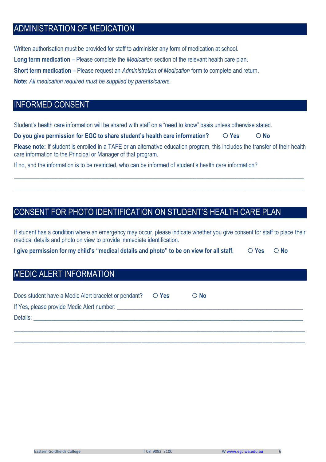## ADMINISTRATION OF MEDICATION

Written authorisation must be provided for staff to administer any form of medication at school. **Long term medication** – Please complete the *Medication* section of the relevant health care plan. **Short term medication** – Please request an *Administration of Medication* form to complete and return. **Note:** *All medication required must be supplied by parents/carers.*

### INFORMED CONSENT

Student's health care information will be shared with staff on a "need to know" basis unless otherwise stated.

**Do you give permission for EGC to share student's health care information? <br>**  $\bigcirc$  **Yes**  $\bigcirc$  **No** 

**Please note:** If student is enrolled in a TAFE or an alternative education program, this includes the transfer of their health care information to the Principal or Manager of that program.

 $\_$  , and the set of the set of the set of the set of the set of the set of the set of the set of the set of the set of the set of the set of the set of the set of the set of the set of the set of the set of the set of th

 $\_$  , and the set of the set of the set of the set of the set of the set of the set of the set of the set of the set of the set of the set of the set of the set of the set of the set of the set of the set of the set of th

If no, and the information is to be restricted, who can be informed of student's health care information?

## CONSENT FOR PHOTO IDENTIFICATION ON STUDENT'S HEALTH CARE PLAN

If student has a condition where an emergency may occur, please indicate whether you give consent for staff to place their medical details and photo on view to provide immediate identification.

**I** give permission for my child's "medical details and photo" to be on view for all staff.  $\bigcirc$  Yes  $\bigcirc$  No

## MEDIC ALERT INFORMATION

| Does student have a Medic Alert bracelet or pendant?<br>O Yes                                                                                                                                                                  | $\bigcirc$ No |
|--------------------------------------------------------------------------------------------------------------------------------------------------------------------------------------------------------------------------------|---------------|
| If Yes, please provide Medic Alert number: New York Changes and Changes and Changes and Changes and Changes and Changes and Changes and Changes and Changes and Changes and Changes and Changes and Changes and Changes and Ch |               |
| Details: the contract of the contract of the contract of the contract of the contract of the contract of the contract of the contract of the contract of the contract of the contract of the contract of the contract of the c |               |
|                                                                                                                                                                                                                                |               |
|                                                                                                                                                                                                                                |               |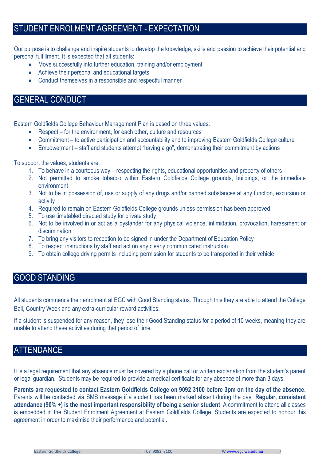## STUDENT ENROLMENT AGREEMENT - EXPECTATION

Our purpose is to challenge and inspire students to develop the knowledge, skills and passion to achieve their potential and personal fulfillment. It is expected that all students:

- Move successfully into further education, training and/or employment
- Achieve their personal and educational targets
- Conduct themselves in a responsible and respectful manner

#### GENERAL CONDUCT

Eastern Goldfields College Behaviour Management Plan is based on three values:

- Respect for the environment, for each other, culture and resources
- Commitment to active participation and accountability and to improving Eastern Goldfields College culture
- Empowerment staff and students attempt "having a go", demonstrating their commitment by actions

To support the values, students are:

- 1. To behave in a courteous way respecting the rights, educational opportunities and property of others
- 2. Not permitted to smoke tobacco within Eastern Goldfields College grounds, buildings, or the immediate environment
- 3. Not to be in possession of, use or supply of any drugs and/or banned substances at any function, excursion or activity
- 4. Required to remain on Eastern Goldfields College grounds unless permission has been approved
- 5. To use timetabled directed study for private study
- 6. Not to be involved in or act as a bystander for any physical violence, intimidation, provocation, harassment or discrimination
- 7. To bring any visitors to reception to be signed in under the Department of Education Policy
- 8. To respect instructions by staff and act on any clearly communicated instruction
- 9. To obtain college driving permits including permission for students to be transported in their vehicle

### GOOD STANDING

All students commence their enrolment at EGC with Good Standing status. Through this they are able to attend the College Ball, Country Week and any extra-curricular reward activities.

If a student is suspended for any reason, they lose their Good Standing status for a period of 10 weeks, meaning they are unable to attend these activities during that period of time.

## **ATTENDANCE**

It is a legal requirement that any absence must be covered by a phone call or written explanation from the student's parent or legal guardian. Students may be required to provide a medical certificate for any absence of more than 3 days.

**Parents are requested to contact Eastern Goldfields College on 9092 3100 before 3pm on the day of the absence.** Parents will be contacted via SMS message if a student has been marked absent during the day. **Regular, consistent attendance (90% +) is the most important responsibility of being a senior student**. A commitment to attend all classes is embedded in the Student Enrolment Agreement at Eastern Goldfields College. Students are expected to honour this agreement in order to maximise their performance and potential.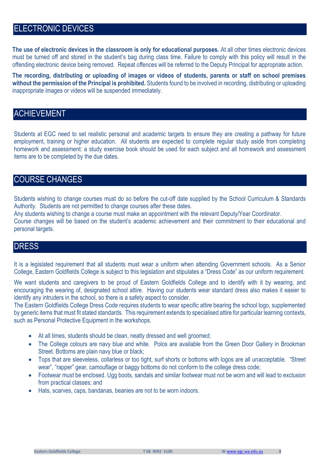## ELECTRONIC DEVICES

**The use of electronic devices in the classroom is only for educational purposes.** At all other times electronic devices must be turned off and stored in the student's bag during class time. Failure to comply with this policy will result in the offending electronic device being removed. Repeat offences will be referred to the Deputy Principal for appropriate action.

**The recording, distributing or uploading of images or videos of students, parents or staff on school premises without the permission of the Principal is prohibited.** Students found to be involved in recording, distributing or uploading inappropriate images or videos will be suspended immediately.

### ACHIEVEMENT

Students at EGC need to set realistic personal and academic targets to ensure they are creating a pathway for future employment, training or higher education. All students are expected to complete regular study aside from completing homework and assessment: a study exercise book should be used for each subject and all homework and assessment items are to be completed by the due dates.

### COURSE CHANGES

Students wishing to change courses must do so before the cut-off date supplied by the School Curriculum & Standards Authority. Students are not permitted to change courses after these dates.

Any students wishing to change a course must make an appointment with the relevant Deputy/Year Coordinator.

Course changes will be based on the student's academic achievement and their commitment to their educational and personal targets.

#### DRESS

It is a legislated requirement that all students must wear a uniform when attending Government schools. As a Senior College, Eastern Goldfields College is subject to this legislation and stipulates a "Dress Code" as our uniform requirement.

We want students and caregivers to be proud of Eastern Goldfields College and to identify with it by wearing, and encouraging the wearing of, designated school attire. Having our students wear standard dress also makes it easier to identify any intruders in the school, so there is a safety aspect to consider.

The Eastern Goldfields College Dress Code requires students to wear specific attire bearing the school logo, supplemented by generic items that must fit stated standards. This requirement extends to specialised attire for particular learning contexts, such as Personal Protective Equipment in the workshops.

- At all times, students should be clean, neatly dressed and well groomed;
- The College colours are navy blue and white. Polos are available from the Green Door Gallery in Brookman Street. Bottoms are plain navy blue or black;
- Tops that are sleeveless, collarless or too tight, surf shorts or bottoms with logos are all unacceptable. "Street wear", "rapper" gear, camouflage or baggy bottoms do not conform to the college dress code;
- Footwear must be enclosed. Ugg boots, sandals and similar footwear must not be worn and will lead to exclusion from practical classes; and
- Hats, scarves, caps, bandanas, beanies are not to be worn indoors.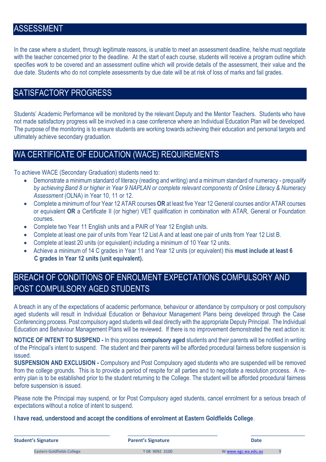### ASSESSMENT

In the case where a student, through legitimate reasons, is unable to meet an assessment deadline, he/she must negotiate with the teacher concerned prior to the deadline. At the start of each course, students will receive a program outline which specifies work to be covered and an assessment outline which will provide details of the assessment, their value and the due date. Students who do not complete assessments by due date will be at risk of loss of marks and fail grades.

### SATISFACTORY PROGRESS

Students' Academic Performance will be monitored by the relevant Deputy and the Mentor Teachers. Students who have not made satisfactory progress will be involved in a case conference where an Individual Education Plan will be developed. The purpose of the monitoring is to ensure students are working towards achieving their education and personal targets and ultimately achieve secondary graduation.

## WA CERTIFICATE OF EDUCATION (WACE) REQUIREMENTS

To achieve WACE (Secondary Graduation) students need to:

- Demonstrate a minimum standard of literacy (reading and writing) and a minimum standard of numeracy p*requalify by achieving Band 8 or higher in Year 9 NAPLAN or complete relevant components of Online Literacy & Numeracy Assessment* (OLNA) in Year 10, 11 or 12.
- Complete a minimum of four Year 12 ATAR courses **OR** at least five Year 12 General courses and/or ATAR courses or equivalent **OR** a Certificate II (or higher) VET qualification in combination with ATAR, General or Foundation courses.
- Complete two Year 11 English units and a PAIR of Year 12 English units.
- Complete at least one pair of units from Year 12 List A and at least one pair of units from Year 12 List B.
- Complete at least 20 units (or equivalent) including a minimum of 10 Year 12 units.
- Achieve a minimum of 14 C grades in Year 11 and Year 12 units (or equivalent) this **must include at least 6 C grades in Year 12 units (unit equivalent).**

## BREACH OF CONDITIONS OF ENROLMENT EXPECTATIONS COMPULSORY AND POST COMPULSORY AGED STUDENTS

A breach in any of the expectations of academic performance, behaviour or attendance by compulsory or post compulsory aged students will result in Individual Education or Behaviour Management Plans being developed through the Case Conferencing process. Post compulsory aged students will deal directly with the appropriate Deputy Principal. The Individual Education and Behaviour Management Plans will be reviewed. If there is no improvement demonstrated the next action is:

**NOTICE OF INTENT TO SUSPEND -** In this process **compulsory aged** students and their parents will be notified in writing of the Principal's intent to suspend. The student and their parents will be afforded procedural fairness before suspension is issued.

**SUSPENSION AND EXCLUSION -** Compulsory and Post Compulsory aged students who are suspended will be removed from the college grounds. This is to provide a period of respite for all parties and to negotiate a resolution process. A reentry plan is to be established prior to the student returning to the College. The student will be afforded procedural fairness before suspension is issued.

Please note the Principal may suspend, or for Post Compulsory aged students, cancel enrolment for a serious breach of expectations without a notice of intent to suspend.

**I have read, understood and accept the conditions of enrolment at Eastern Goldfields College**.

| <b>Student's Signature</b>        | <b>Parent's Signature</b> | <b>Date</b>         |  |
|-----------------------------------|---------------------------|---------------------|--|
| <b>Eastern Goldfields College</b> | T08 9092 3100             | W www.egc.wa.edu.au |  |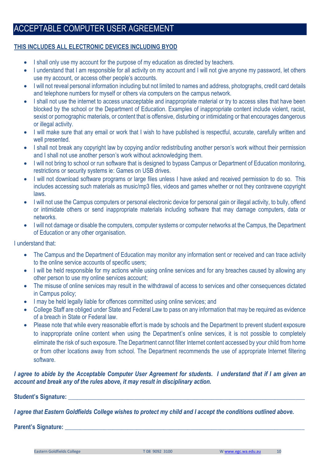### ACCEPTABLE COMPUTER USER AGREEMENT

#### **THIS INCLUDES ALL ELECTRONIC DEVICES INCLUDING BYOD**

- I shall only use my account for the purpose of my education as directed by teachers.
- I understand that I am responsible for all activity on my account and I will not give anyone my password, let others use my account, or access other people's accounts.
- I will not reveal personal information including but not limited to names and address, photographs, credit card details and telephone numbers for myself or others via computers on the campus network.
- I shall not use the internet to access unacceptable and inappropriate material or try to access sites that have been blocked by the school or the Department of Education. Examples of inappropriate content include violent, racist, sexist or pornographic materials, or content that is offensive, disturbing or intimidating or that encourages dangerous or illegal activity.
- I will make sure that any email or work that I wish to have published is respectful, accurate, carefully written and well presented.
- I shall not break any copyright law by copying and/or redistributing another person's work without their permission and I shall not use another person's work without acknowledging them.
- I will not bring to school or run software that is designed to bypass Campus or Department of Education monitoring, restrictions or security systems ie: Games on USB drives.
- I will not download software programs or large files unless I have asked and received permission to do so. This includes accessing such materials as music/mp3 files, videos and games whether or not they contravene copyright laws.
- I will not use the Campus computers or personal electronic device for personal gain or illegal activity, to bully, offend or intimidate others or send inappropriate materials including software that may damage computers, data or networks.
- I will not damage or disable the computers, computer systems or computer networks at the Campus, the Department of Education or any other organisation.

I understand that:

- The Campus and the Department of Education may monitor any information sent or received and can trace activity to the online service accounts of specific users;
- I will be held responsible for my actions while using online services and for any breaches caused by allowing any other person to use my online services account;
- The misuse of online services may result in the withdrawal of access to services and other consequences dictated in Campus policy;
- I may be held legally liable for offences committed using online services; and
- College Staff are obliged under State and Federal Law to pass on any information that may be required as evidence of a breach in State or Federal law.
- Please note that while every reasonable effort is made by schools and the Department to prevent student exposure to inappropriate online content when using the Department's online services, it is not possible to completely eliminate the risk of such exposure. The Department cannot filter Internet content accessed by your child from home or from other locations away from school. The Department recommends the use of appropriate Internet filtering software.

#### *I agree to abide by the Acceptable Computer User Agreement for students. I understand that if I am given an account and break any of the rules above, it may result in disciplinary action.*

#### **Student's Signature: Construction in the student of**  $\mathbf{S}$  **is a student of**  $\mathbf{S}$  **is a student of**  $\mathbf{S}$  **is a studient of**  $\mathbf{S}$  **is a studient of**  $\mathbf{S}$  **is a studient of**  $\mathbf{S}$  **is a studient of**  $\mathbf{S}$  **is a**

*I agree that Eastern Goldfields College wishes to protect my child and I accept the conditions outlined above.*

**Parent's Signature:** 

Eastern Goldfields College T 08 9092 3100 [W www.egc.wa.edu.au](http://www.egc.wa.edu.au/) 10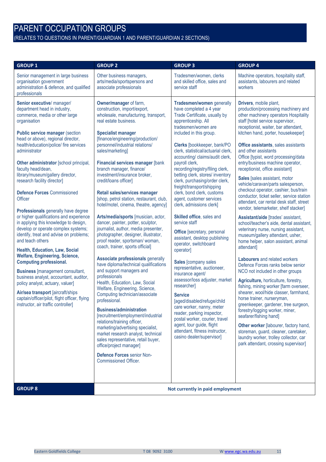# PARENT OCCUPATION GROUPS

(RELATES TO QUESTIONS IN PARENT/GUARDIAN 1 AND PARENT/GUARDIAN 2 SECTIONS)

| <b>GROUP 1</b>                                                                                                                                                                                                                                                                                                                                                                                                                                                                                                                                                                                                                                                                                                                                                                                                                                                                                                                                                                                                                                  | <b>GROUP 2</b>                                                                                                                                                                                                                                                                                                                                                                                                                                                                                                                                                                                                                                                                                                                                                                                                                                                                                                                                                                                                                                                                                                                                                                                                                                                                                                | <b>GROUP 3</b>                                                                                                                                                                                                                                                                                                                                                                                                                                                                                                                                                                                                                                                                                                                                                                                                                                                                                                                                                                                                                                           | <b>GROUP 4</b>                                                                                                                                                                                                                                                                                                                                                                                                                                                                                                                                                                                                                                                                                                                                                                                                                                                                                                                                                                                                                                                                                                                                                                                                                                                                                                                                                                                                         |  |
|-------------------------------------------------------------------------------------------------------------------------------------------------------------------------------------------------------------------------------------------------------------------------------------------------------------------------------------------------------------------------------------------------------------------------------------------------------------------------------------------------------------------------------------------------------------------------------------------------------------------------------------------------------------------------------------------------------------------------------------------------------------------------------------------------------------------------------------------------------------------------------------------------------------------------------------------------------------------------------------------------------------------------------------------------|---------------------------------------------------------------------------------------------------------------------------------------------------------------------------------------------------------------------------------------------------------------------------------------------------------------------------------------------------------------------------------------------------------------------------------------------------------------------------------------------------------------------------------------------------------------------------------------------------------------------------------------------------------------------------------------------------------------------------------------------------------------------------------------------------------------------------------------------------------------------------------------------------------------------------------------------------------------------------------------------------------------------------------------------------------------------------------------------------------------------------------------------------------------------------------------------------------------------------------------------------------------------------------------------------------------|----------------------------------------------------------------------------------------------------------------------------------------------------------------------------------------------------------------------------------------------------------------------------------------------------------------------------------------------------------------------------------------------------------------------------------------------------------------------------------------------------------------------------------------------------------------------------------------------------------------------------------------------------------------------------------------------------------------------------------------------------------------------------------------------------------------------------------------------------------------------------------------------------------------------------------------------------------------------------------------------------------------------------------------------------------|------------------------------------------------------------------------------------------------------------------------------------------------------------------------------------------------------------------------------------------------------------------------------------------------------------------------------------------------------------------------------------------------------------------------------------------------------------------------------------------------------------------------------------------------------------------------------------------------------------------------------------------------------------------------------------------------------------------------------------------------------------------------------------------------------------------------------------------------------------------------------------------------------------------------------------------------------------------------------------------------------------------------------------------------------------------------------------------------------------------------------------------------------------------------------------------------------------------------------------------------------------------------------------------------------------------------------------------------------------------------------------------------------------------------|--|
| Senior management in large business<br>organisation government<br>administration & defence, and qualified<br>professionals                                                                                                                                                                                                                                                                                                                                                                                                                                                                                                                                                                                                                                                                                                                                                                                                                                                                                                                      | Other business managers,<br>arts/media/sportspersons and<br>associate professionals                                                                                                                                                                                                                                                                                                                                                                                                                                                                                                                                                                                                                                                                                                                                                                                                                                                                                                                                                                                                                                                                                                                                                                                                                           | Tradesmen/women, clerks<br>and skilled office, sales and<br>service staff                                                                                                                                                                                                                                                                                                                                                                                                                                                                                                                                                                                                                                                                                                                                                                                                                                                                                                                                                                                | Machine operators, hospitality staff,<br>assistants, labourers and related<br>workers                                                                                                                                                                                                                                                                                                                                                                                                                                                                                                                                                                                                                                                                                                                                                                                                                                                                                                                                                                                                                                                                                                                                                                                                                                                                                                                                  |  |
| Senior executive/ manager/<br>department head in industry,<br>commerce, media or other large<br>organisation<br><b>Public service manager (section</b><br>head or above), regional director,<br>health/education/police/ fire services<br>administrator<br>Other administrator [school principal,<br>faculty head/dean,<br>library/museum/gallery director,<br>research facility director]<br><b>Defence Forces Commissioned</b><br>Officer<br>Professionals generally have degree<br>or higher qualifications and experience<br>in applying this knowledge to design,<br>develop or operate complex systems;<br>identify, treat and advise on problems;<br>and teach others<br>Health, Education, Law, Social<br><b>Welfare, Engineering, Science,</b><br><b>Computing professional.</b><br><b>Business</b> [management consultant,<br>business analyst, accountant, auditor,<br>policy analyst, actuary, valuer]<br>Air/sea transport [aircraft/ships<br>captain/officer/pilot, flight officer, flying<br>instructor, air traffic controller] | Owner/manager of farm,<br>construction, import/export,<br>wholesale, manufacturing, transport,<br>real estate business.<br><b>Specialist manager</b><br>[finance/engineering/production/<br>personnel/industrial relations/<br>sales/marketing]<br>Financial services manager [bank<br>branch manager, finance/<br>investment/insurance broker,<br>credit/loans officer]<br>Retail sales/services manager<br>[shop, petrol station, restaurant, club,<br>hotel/motel, cinema, theatre, agency]<br>Arts/media/sports [musician, actor,<br>dancer, painter, potter, sculptor,<br>journalist, author, media presenter,<br>photographer, designer, illustrator,<br>proof reader, sportsman/ woman,<br>coach, trainer, sports official]<br><b>Associate professionals generally</b><br>have diploma/technical qualifications<br>and support managers and<br>professionals<br>Health, Education, Law, Social<br>Welfare, Engineering, Science,<br>Computing technician/associate<br>professional.<br><b>Business/administration</b><br>[recruitment/employment/industrial<br>relations/training officer,<br>marketing/advertising specialist,<br>market research analyst, technical<br>sales representative, retail buyer,<br>office/project manager]<br>Defence Forces senior Non-<br><b>Commissioned Officer.</b> | Tradesmen/women generally<br>have completed a 4 year<br>Trade Certificate, usually by<br>apprenticeship. All<br>tradesmen/women are<br>included in this group.<br>Clerks [bookkeeper, bank/PO<br>clerk, statistical/actuarial clerk,<br>accounting/ claims/audit clerk,<br>payroll clerk,<br>recording/registry/filing clerk,<br>betting clerk, stores/ inventory<br>clerk, purchasing/order clerk,<br>freight/transport/shipping<br>clerk, bond clerk, customs<br>agent, customer services<br>clerk, admissions clerk]<br>Skilled office, sales and<br>service staff<br><b>Office</b> [secretary, personal<br>assistant, desktop publishing<br>operator, switchboard<br>operator]<br>Sales [company sales<br>representative, auctioneer,<br>insurance agent/<br>assessor/loss adjuster, market<br>researcher]<br><b>Service</b><br>[aged/disabled/refuge/child<br>care worker, nanny, meter<br>reader, parking inspector,<br>postal worker, courier, travel<br>agent, tour guide, flight<br>attendant, fitness instructor,<br>casino dealer/supervisor] | Drivers, mobile plant,<br>production/processing machinery and<br>other machinery operators Hospitality<br>staff [hotel service supervisor,<br>receptionist, waiter, bar attendant,<br>kitchen hand, porter, housekeeper]<br>Office assistants, sales assistants<br>and other assistants<br>Office [typist, word processing/data<br>entry/business machine operator,<br>receptionist, office assistant]<br>Sales [sales assistant, motor<br>vehicle/caravan/parts salesperson,<br>checkout operator, cashier, bus/train<br>conductor, ticket seller, service station<br>attendant, car rental desk staff, street<br>vendor, telemarketer, shelf stacker]<br>Assistant/aide [trades' assistant,<br>school/teacher's aide, dental assistant,<br>veterinary nurse, nursing assistant,<br>museum/gallery attendant, usher,<br>home helper, salon assistant, animal<br>attendant]<br>Labourers and related workers<br>Defence Forces ranks below senior<br>NCO not included in other groups<br>Agriculture, horticulture, forestry,<br>fishing, mining worker [farm overseer,<br>shearer, wool/hide classer, farmhand,<br>horse trainer, nurseryman,<br>greenkeeper, gardener, tree surgeon,<br>forestry/logging worker, miner,<br>seafarer/fishing hand]<br>Other worker [labourer, factory hand,<br>storeman, guard, cleaner, caretaker,<br>laundry worker, trolley collector, car<br>park attendant, crossing supervisor] |  |
| <b>GROUP 8</b>                                                                                                                                                                                                                                                                                                                                                                                                                                                                                                                                                                                                                                                                                                                                                                                                                                                                                                                                                                                                                                  | Not currently in paid employment                                                                                                                                                                                                                                                                                                                                                                                                                                                                                                                                                                                                                                                                                                                                                                                                                                                                                                                                                                                                                                                                                                                                                                                                                                                                              |                                                                                                                                                                                                                                                                                                                                                                                                                                                                                                                                                                                                                                                                                                                                                                                                                                                                                                                                                                                                                                                          |                                                                                                                                                                                                                                                                                                                                                                                                                                                                                                                                                                                                                                                                                                                                                                                                                                                                                                                                                                                                                                                                                                                                                                                                                                                                                                                                                                                                                        |  |